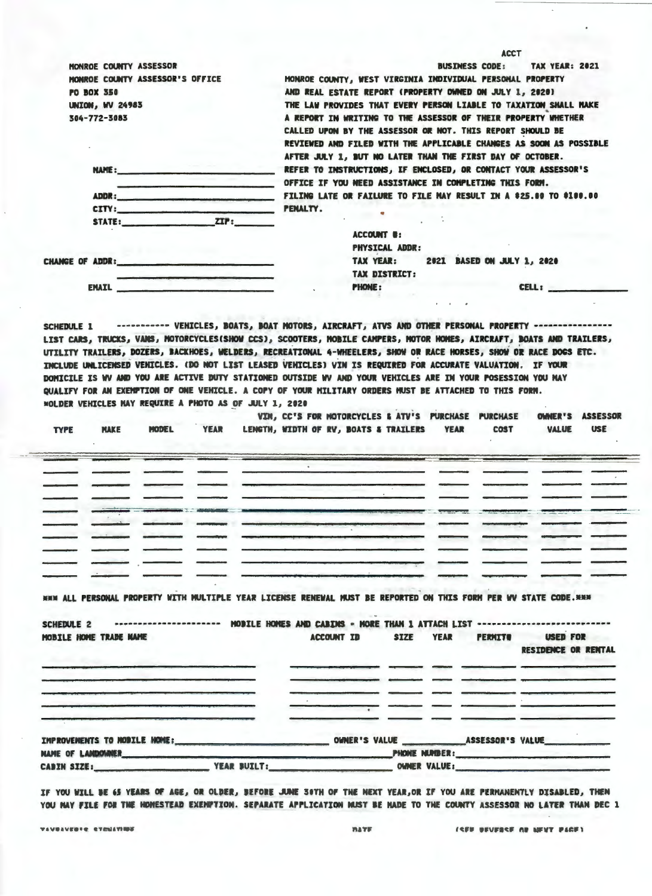| MONROE COUNTY ASSESSOR                                                                                                                                                                          | BUSINESS CODE: TAX YEAR: 2021                                                                                     |
|-------------------------------------------------------------------------------------------------------------------------------------------------------------------------------------------------|-------------------------------------------------------------------------------------------------------------------|
| MONROE COUNTY ASSESSOR'S OFFICE                                                                                                                                                                 | MONROE COUNTY, WEST VIRGINIA INDIVIDUAL PERSONAL PROPERTY                                                         |
|                                                                                                                                                                                                 | AND REAL ESTATE REPORT (PROPERTY OWNED ON JULY 1. 2020)                                                           |
| <b>PO BOX 350</b>                                                                                                                                                                               |                                                                                                                   |
| <b>UNION. WV 24983</b>                                                                                                                                                                          | THE LAW PROVIDES THAT EVERY PERSON LIABLE TO TAXATION SHALL MAKE                                                  |
| 304-772-3083                                                                                                                                                                                    | A REPORT IN WRITING TO THE ASSESSOR OF THEIR PROPERTY WHETHER                                                     |
|                                                                                                                                                                                                 | CALLED UPON BY THE ASSESSOR OR NOT. THIS REPORT SHOULD BE                                                         |
|                                                                                                                                                                                                 | REVIEWED AND FILED WITH THE APPLICABLE CHANGES AS SOON AS POSSIBLE                                                |
|                                                                                                                                                                                                 | AFTER JULY 1, BUT NO LATER THAN THE FIRST DAY OF OCTOBER.                                                         |
| NAME:                                                                                                                                                                                           | REFER TO INSTRUCTIONS, IF ENCLOSED, OR CONTACT YOUR ASSESSOR'S                                                    |
|                                                                                                                                                                                                 | OFFICE IF YOU WEED ASSISTANCE IN COMPLETING THIS FORM.                                                            |
|                                                                                                                                                                                                 |                                                                                                                   |
| CITY: PENALTY.                                                                                                                                                                                  |                                                                                                                   |
| STATE: ZIP:                                                                                                                                                                                     |                                                                                                                   |
|                                                                                                                                                                                                 | <b>ACCOUNT 8:</b>                                                                                                 |
|                                                                                                                                                                                                 | <b>PHYSICAL ADDR:</b>                                                                                             |
| CHANGE OF ADDR:                                                                                                                                                                                 | <b>2021 BASED ON JULY 1, 2020</b><br>TAX YEAR:                                                                    |
|                                                                                                                                                                                                 | <b>TAX DISTRICT:</b>                                                                                              |
| <b>EMAIL</b>                                                                                                                                                                                    | <b>PHONE:</b><br>CELL:                                                                                            |
|                                                                                                                                                                                                 |                                                                                                                   |
| QUALIFY FOR AN EXEMPTION OF ONE VEHICLE. A COPY OF YOUR MILITARY ORDERS MUST BE ATTACHED TO THIS FORM.<br><b>MOLDER VEHICLES HAY REQUIRE A PHOTO AS OF JULY 1, 2020</b><br><b>NAKE</b><br>MODEL | VIN. CC'S FOR NOTORCYCLES & ATV'S PURCHASE PURCHASE<br><b>COST</b><br><b>USE</b><br><b>VALUE</b>                  |
| <b>TYPE</b>                                                                                                                                                                                     | OWNER'S ASSESSOR<br>YEAR LENGTH, WIDTH OF RV, BOATS & TRAILERS YEAR                                               |
|                                                                                                                                                                                                 |                                                                                                                   |
|                                                                                                                                                                                                 |                                                                                                                   |
|                                                                                                                                                                                                 |                                                                                                                   |
|                                                                                                                                                                                                 |                                                                                                                   |
|                                                                                                                                                                                                 |                                                                                                                   |
|                                                                                                                                                                                                 |                                                                                                                   |
|                                                                                                                                                                                                 |                                                                                                                   |
|                                                                                                                                                                                                 | HHM ALL PERSONAL PROPERTY WITH MULTIPLE YEAR LICENSE RENEWAL MUST BE REPORTED ON THIS FORM PER WV STATE CODE. HHM |
|                                                                                                                                                                                                 |                                                                                                                   |
| SCHEDULE <sub>2</sub>                                                                                                                                                                           | ---------------------- MODILE HOMES AND CABINS = MORE THAN 1 ATTACH LIST --------------------------               |
| MOBILE HOME TRADE NAME                                                                                                                                                                          | <b>SIZE</b><br><b>PERMITE USED FOR</b><br>ACCOUNT ID<br><b>YEAR</b>                                               |
|                                                                                                                                                                                                 |                                                                                                                   |
| <b>Bander Roman</b>                                                                                                                                                                             | RESTDENCE OR RENTAL                                                                                               |
|                                                                                                                                                                                                 |                                                                                                                   |
|                                                                                                                                                                                                 |                                                                                                                   |
|                                                                                                                                                                                                 |                                                                                                                   |
|                                                                                                                                                                                                 |                                                                                                                   |
|                                                                                                                                                                                                 |                                                                                                                   |
|                                                                                                                                                                                                 |                                                                                                                   |
|                                                                                                                                                                                                 |                                                                                                                   |
| NAME OF LAMDOWNER<br>YEAR SUILT:<br><b>CADIN SIZE:</b>                                                                                                                                          | PHONE NUMBER:<br>OWNER VALUE:                                                                                     |

VAVOAVEDIE ETENATION

 $\overline{\phantom{a}}$ 

**ISER BEVERSE OF MENT PACES** 

 $\mathbb{Z}$ 

 $\overline{\phantom{a}}$